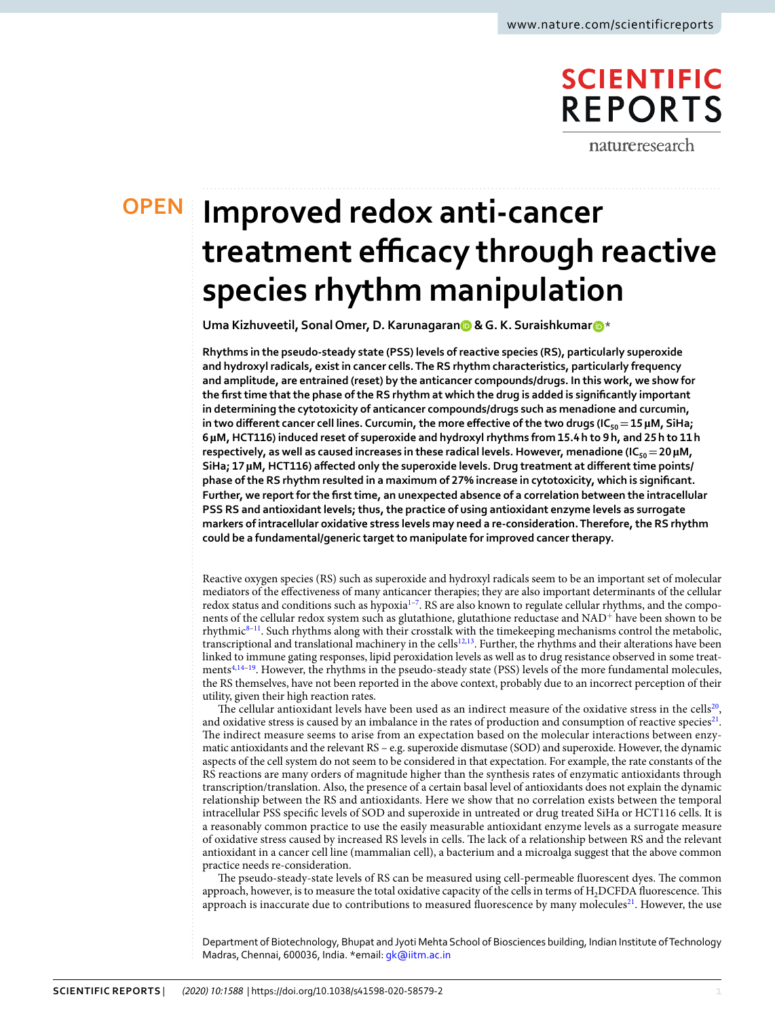## **SCIENTIFIC REPORTS**

natureresearch

### **OPEN**

# **Improved redox anti-cancer treatment efficacy through reactive species rhythm manipulation**

**Uma Kizhuveetil, Sonal Omer, D. Karunagara[n &](http://orcid.org/0000-0001-9331-8947) G. K. Suraishkumar**\*

**Rhythms in the pseudo-steady state (PSS) levels of reactive species (RS), particularly superoxide and hydroxyl radicals, exist in cancer cells. The RS rhythm characteristics, particularly frequency and amplitude, are entrained (reset) by the anticancer compounds/drugs. In this work, we show for the first time that the phase of the RS rhythm at which the drug is added is significantly important in determining the cytotoxicity of anticancer compounds/drugs such as menadione and curcumin,**  in two different cancer cell lines. Curcumin, the more effective of the two drugs ( $IC_{50} = 15 \mu M$ , SiHa; **6 µM, HCT116) induced reset of superoxide and hydroxyl rhythms from 15.4 h to 9 h, and 25 h to 11 h respectively, as well as caused increases in these radical levels. However, menadione (IC<sub>50</sub> =**  $20 \mu$ **M, SiHa; 17 µM, HCT116) affected only the superoxide levels. Drug treatment at different time points/ phase of the RS rhythm resulted in a maximum of 27% increase in cytotoxicity, which is significant. Further, we report for the first time, an unexpected absence of a correlation between the intracellular PSS RS and antioxidant levels; thus, the practice of using antioxidant enzyme levels as surrogate markers of intracellular oxidative stress levels may need a re-consideration. Therefore, the RS rhythm could be a fundamental/generic target to manipulate for improved cancer therapy.**

Reactive oxygen species (RS) such as superoxide and hydroxyl radicals seem to be an important set of molecular mediators of the effectiveness of many anticancer therapies; they are also important determinants of the cellular redox status and conditions such as hypoxia<sup>[1](#page-7-0)-7</sup>. RS are also known to regulate cellular rhythms, and the components of the cellular redox system such as glutathione, glutathione reductase and NAD<sup>+</sup> have been shown to be rhythmic $8-11$  $8-11$ . Such rhythms along with their crosstalk with the timekeeping mechanisms control the metabolic, transcriptional and translational machinery in the cells<sup>[12,](#page-8-1)[13](#page-8-2)</sup>. Further, the rhythms and their alterations have been linked to immune gating responses, lipid peroxidation levels as well as to drug resistance observed in some treat-ments<sup>[4,](#page-7-3)[14–](#page-8-3)[19](#page-8-4)</sup>. However, the rhythms in the pseudo-steady state (PSS) levels of the more fundamental molecules, the RS themselves, have not been reported in the above context, probably due to an incorrect perception of their utility, given their high reaction rates.

The cellular antioxidant levels have been used as an indirect measure of the oxidative stress in the cells<sup>[20](#page-8-5)</sup>, and oxidative stress is caused by an imbalance in the rates of production and consumption of reactive species $21$ . The indirect measure seems to arise from an expectation based on the molecular interactions between enzymatic antioxidants and the relevant RS – e.g. superoxide dismutase (SOD) and superoxide. However, the dynamic aspects of the cell system do not seem to be considered in that expectation. For example, the rate constants of the RS reactions are many orders of magnitude higher than the synthesis rates of enzymatic antioxidants through transcription/translation. Also, the presence of a certain basal level of antioxidants does not explain the dynamic relationship between the RS and antioxidants. Here we show that no correlation exists between the temporal intracellular PSS specific levels of SOD and superoxide in untreated or drug treated SiHa or HCT116 cells. It is a reasonably common practice to use the easily measurable antioxidant enzyme levels as a surrogate measure of oxidative stress caused by increased RS levels in cells. The lack of a relationship between RS and the relevant antioxidant in a cancer cell line (mammalian cell), a bacterium and a microalga suggest that the above common practice needs re-consideration.

The pseudo-steady-state levels of RS can be measured using cell-permeable fluorescent dyes. The common approach, however, is to measure the total oxidative capacity of the cells in terms of  $H_2$ DCFDA fluorescence. This approach is inaccurate due to contributions to measured fluorescence by many molecules<sup>[21](#page-8-6)</sup>. However, the use

Department of Biotechnology, Bhupat and Jyoti Mehta School of Biosciences building, Indian Institute of Technology Madras, Chennai, 600036, India. \*email: [gk@iitm.ac.in](mailto:gk@iitm.ac.in)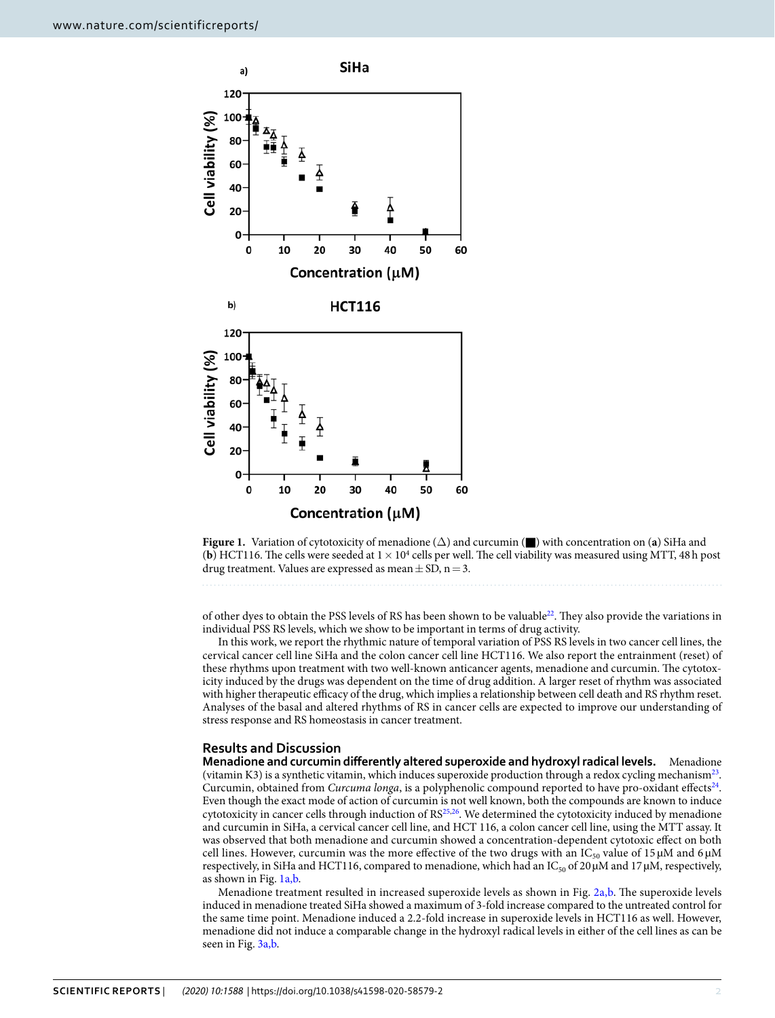

<span id="page-1-0"></span>**Figure 1.** Variation of cytotoxicity of menadione (∆) and curcumin (■) with concentration on (**a**) SiHa and (**b**) HCT116. The cells were seeded at  $1 \times 10^4$  cells per well. The cell viability was measured using MTT, 48 h post drug treatment. Values are expressed as mean  $\pm$  SD, n = 3.

of other dyes to obtain the PSS levels of RS has been shown to be valuable<sup>[22](#page-8-7)</sup>. They also provide the variations in individual PSS RS levels, which we show to be important in terms of drug activity.

In this work, we report the rhythmic nature of temporal variation of PSS RS levels in two cancer cell lines, the cervical cancer cell line SiHa and the colon cancer cell line HCT116. We also report the entrainment (reset) of these rhythms upon treatment with two well-known anticancer agents, menadione and curcumin. The cytotoxicity induced by the drugs was dependent on the time of drug addition. A larger reset of rhythm was associated with higher therapeutic efficacy of the drug, which implies a relationship between cell death and RS rhythm reset. Analyses of the basal and altered rhythms of RS in cancer cells are expected to improve our understanding of stress response and RS homeostasis in cancer treatment.

#### **Results and Discussion**

**Menadione and curcumin differently altered superoxide and hydroxyl radical levels.** Menadione (vitamin K3) is a synthetic vitamin, which induces superoxide production through a redox cycling mechanism<sup>[23](#page-8-8)</sup>. Curcumin, obtained from Curcuma longa, is a polyphenolic compound reported to have pro-oxidant effects<sup>[24](#page-8-9)</sup>. Even though the exact mode of action of curcumin is not well known, both the compounds are known to induce cytotoxicity in cancer cells through induction of RS<sup>[25](#page-8-10)[,26](#page-8-11)</sup>. We determined the cytotoxicity induced by menadione and curcumin in SiHa, a cervical cancer cell line, and HCT 116, a colon cancer cell line, using the MTT assay. It was observed that both menadione and curcumin showed a concentration-dependent cytotoxic effect on both cell lines. However, curcumin was the more effective of the two drugs with an  $IC_{50}$  value of 15 µM and 6 µM respectively, in SiHa and HCT116, compared to menadione, which had an  $IC_{50}$  of 20  $\mu$ M and 17  $\mu$ M, respectively, as shown in Fig. [1a,b](#page-1-0).

Menadione treatment resulted in increased superoxide levels as shown in Fig. [2a,b](#page-2-0). The superoxide levels induced in menadione treated SiHa showed a maximum of 3-fold increase compared to the untreated control for the same time point. Menadione induced a 2.2-fold increase in superoxide levels in HCT116 as well. However, menadione did not induce a comparable change in the hydroxyl radical levels in either of the cell lines as can be seen in Fig. [3a,b.](#page-3-0)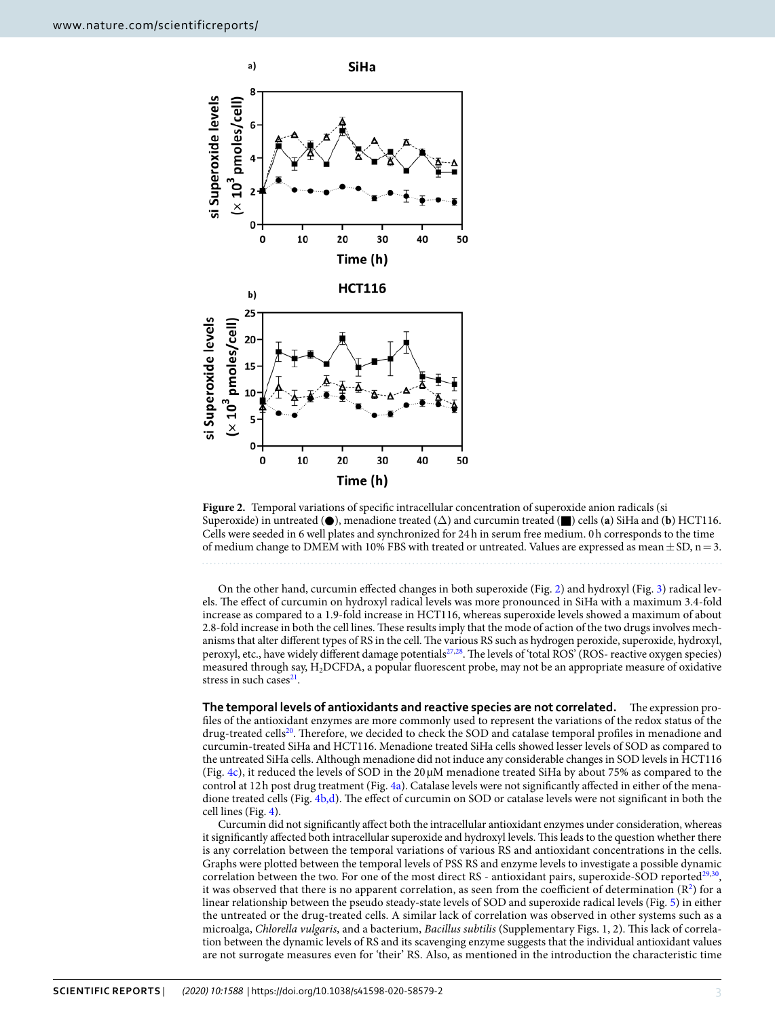

<span id="page-2-0"></span>**Figure 2.** Temporal variations of specific intracellular concentration of superoxide anion radicals (si Superoxide) in untreated  $(\bullet)$ , menadione treated  $(\Delta)$  and curcumin treated  $(\blacksquare)$  cells (**a**) SiHa and (**b**) HCT116. Cells were seeded in 6 well plates and synchronized for 24 h in serum free medium. 0 h corresponds to the time of medium change to DMEM with 10% FBS with treated or untreated. Values are expressed as mean  $\pm$  SD, n = 3.

On the other hand, curcumin effected changes in both superoxide (Fig. [2\)](#page-2-0) and hydroxyl (Fig. [3\)](#page-3-0) radical levels. The effect of curcumin on hydroxyl radical levels was more pronounced in SiHa with a maximum 3.4-fold increase as compared to a 1.9-fold increase in HCT116, whereas superoxide levels showed a maximum of about 2.8-fold increase in both the cell lines. These results imply that the mode of action of the two drugs involves mechanisms that alter different types of RS in the cell. The various RS such as hydrogen peroxide, superoxide, hydroxyl, peroxyl, etc., have widely different damage potentials<sup>[27,](#page-8-12)[28](#page-8-13)</sup>. The levels of 'total ROS' (ROS- reactive oxygen species) measured through say, H2DCFDA, a popular fluorescent probe, may not be an appropriate measure of oxidative stress in such cases<sup>[21](#page-8-6)</sup>.

**The temporal levels of antioxidants and reactive species are not correlated.** The expression profiles of the antioxidant enzymes are more commonly used to represent the variations of the redox status of the drug-treated cells<sup>[20](#page-8-5)</sup>. Therefore, we decided to check the SOD and catalase temporal profiles in menadione and curcumin-treated SiHa and HCT116. Menadione treated SiHa cells showed lesser levels of SOD as compared to the untreated SiHa cells. Although menadione did not induce any considerable changes in SOD levels in HCT116 (Fig. [4c](#page-4-0)), it reduced the levels of SOD in the 20 µM menadione treated SiHa by about 75% as compared to the control at 12 h post drug treatment (Fig. [4a](#page-4-0)). Catalase levels were not significantly affected in either of the menadione treated cells (Fig. [4b,d\)](#page-4-0). The effect of curcumin on SOD or catalase levels were not significant in both the cell lines (Fig. [4\)](#page-4-0).

Curcumin did not significantly affect both the intracellular antioxidant enzymes under consideration, whereas it significantly affected both intracellular superoxide and hydroxyl levels. This leads to the question whether there is any correlation between the temporal variations of various RS and antioxidant concentrations in the cells. Graphs were plotted between the temporal levels of PSS RS and enzyme levels to investigate a possible dynamic correlation between the two. For one of the most direct RS - antioxidant pairs, superoxide-SOD reported<sup>[29](#page-8-14),[30](#page-8-15)</sup>, it was observed that there is no apparent correlation, as seen from the coefficient of determination  $(R^2)$  $(R^2)$  $(R^2)$  for a linear relationship between the pseudo steady-state levels of SOD and superoxide radical levels (Fig. [5](#page-5-0)) in either the untreated or the drug-treated cells. A similar lack of correlation was observed in other systems such as a microalga, Chlorella vulgaris, and a bacterium, Bacillus subtilis (Supplementary Figs. 1, 2). This lack of correlation between the dynamic levels of RS and its scavenging enzyme suggests that the individual antioxidant values are not surrogate measures even for 'their' RS. Also, as mentioned in the introduction the characteristic time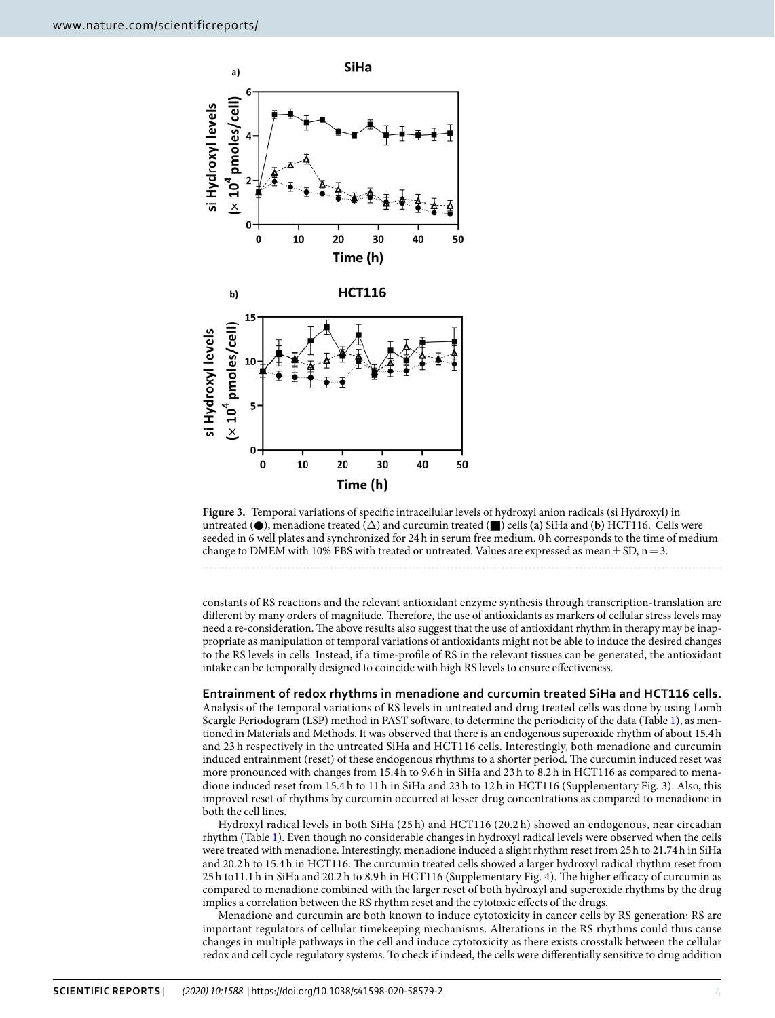

<span id="page-3-0"></span>**Figure 3.** Temporal variations of specific intracellular levels of hydroxyl anion radicals (si Hydroxyl) in untreated (●), menadione treated  $(\Delta)$  and curcumin treated (■) cells (a) SiHa and (b) HCT116. Cells were seeded in 6 well plates and synchronized for 24 h in serum free medium. 0 h corresponds to the time of medium change to DMEM with 10% FBS with treated or untreated. Values are expressed as mean  $\pm$  SD, n = 3.

constants of RS reactions and the relevant antioxidant enzyme synthesis through transcription-translation are different by many orders of magnitude. Therefore, the use of antioxidants as markers of cellular stress levels may need a re-consideration. The above results also suggest that the use of antioxidant rhythm in therapy may be inappropriate as manipulation of temporal variations of antioxidants might not be able to induce the desired changes to the RS levels in cells. Instead, if a time-profile of RS in the relevant tissues can be generated, the antioxidant intake can be temporally designed to coincide with high RS levels to ensure effectiveness.

#### **Entrainment of redox rhythms in menadione and curcumin treated SiHa and HCT116 cells.**

Analysis of the temporal variations of RS levels in untreated and drug treated cells was done by using Lomb Scargle Periodogram (LSP) method in PAST software, to determine the periodicity of the data (Table [1](#page-5-1)), as mentioned in Materials and Methods. It was observed that there is an endogenous superoxide rhythm of about 15.4 h and 23 h respectively in the untreated SiHa and HCT116 cells. Interestingly, both menadione and curcumin induced entrainment (reset) of these endogenous rhythms to a shorter period. The curcumin induced reset was more pronounced with changes from 15.4 h to 9.6 h in SiHa and 23 h to 8.2 h in HCT116 as compared to menadione induced reset from 15.4 h to 11 h in SiHa and 23 h to 12 h in HCT116 (Supplementary Fig. 3). Also, this improved reset of rhythms by curcumin occurred at lesser drug concentrations as compared to menadione in both the cell lines.

Hydroxyl radical levels in both SiHa (25 h) and HCT116 (20.2 h) showed an endogenous, near circadian rhythm (Table [1\)](#page-5-1). Even though no considerable changes in hydroxyl radical levels were observed when the cells were treated with menadione. Interestingly, menadione induced a slight rhythm reset from 25 h to 21.74 h in SiHa and 20.2 h to 15.4 h in HCT116. The curcumin treated cells showed a larger hydroxyl radical rhythm reset from 25 h to11.1 h in SiHa and 20.2 h to 8.9 h in HCT116 (Supplementary Fig. 4). The higher efficacy of curcumin as compared to menadione combined with the larger reset of both hydroxyl and superoxide rhythms by the drug implies a correlation between the RS rhythm reset and the cytotoxic effects of the drugs.

Menadione and curcumin are both known to induce cytotoxicity in cancer cells by RS generation; RS are important regulators of cellular timekeeping mechanisms. Alterations in the RS rhythms could thus cause changes in multiple pathways in the cell and induce cytotoxicity as there exists crosstalk between the cellular redox and cell cycle regulatory systems. To check if indeed, the cells were differentially sensitive to drug addition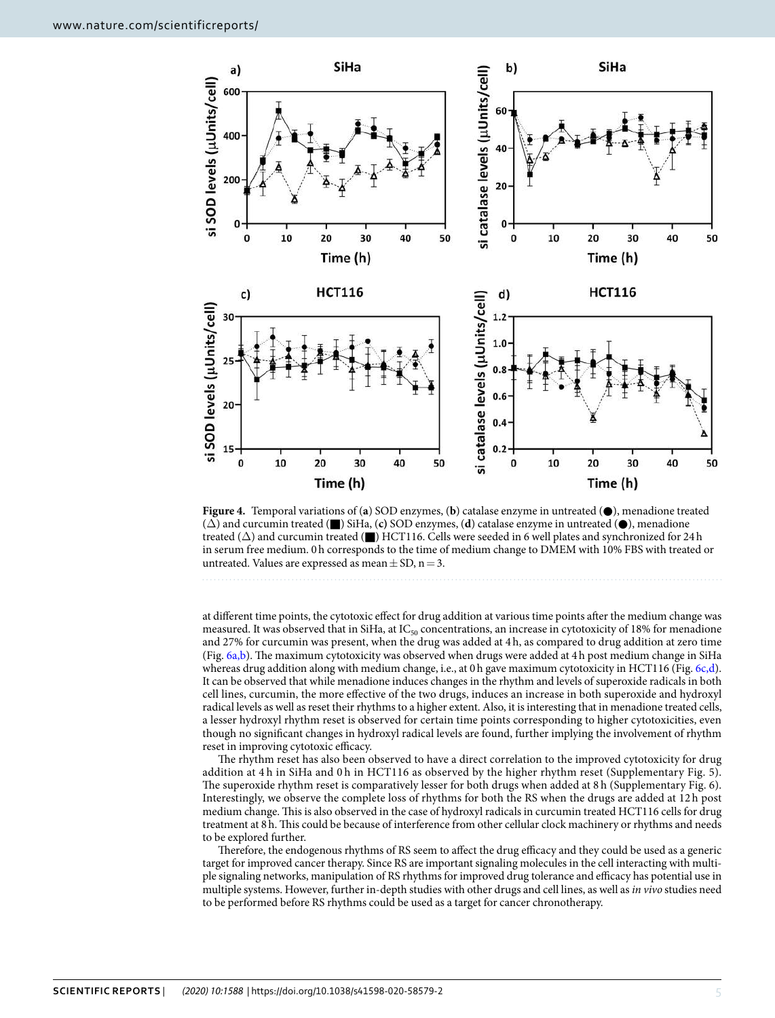

<span id="page-4-0"></span>**Figure 4.** Temporal variations of (**a**) SOD enzymes, (**b**) catalase enzyme in untreated (●), menadione treated (∆) and curcumin treated (■) SiHa, (**c)** SOD enzymes, (**d**) catalase enzyme in untreated (●), menadione treated (∆) and curcumin treated (■) HCT116. Cells were seeded in 6 well plates and synchronized for 24 h in serum free medium. 0 h corresponds to the time of medium change to DMEM with 10% FBS with treated or untreated. Values are expressed as mean  $\pm$  SD, n = 3.

at different time points, the cytotoxic effect for drug addition at various time points after the medium change was measured. It was observed that in SiHa, at  $IC_{50}$  concentrations, an increase in cytotoxicity of 18% for menadione and 27% for curcumin was present, when the drug was added at 4 h, as compared to drug addition at zero time (Fig. [6a,b\)](#page-6-0). The maximum cytotoxicity was observed when drugs were added at 4 h post medium change in SiHa whereas drug addition along with medium change, i.e., at 0 h gave maximum cytotoxicity in HCT116 (Fig. [6c,d](#page-6-0)). It can be observed that while menadione induces changes in the rhythm and levels of superoxide radicals in both cell lines, curcumin, the more effective of the two drugs, induces an increase in both superoxide and hydroxyl radical levels as well as reset their rhythms to a higher extent. Also, it is interesting that in menadione treated cells, a lesser hydroxyl rhythm reset is observed for certain time points corresponding to higher cytotoxicities, even though no significant changes in hydroxyl radical levels are found, further implying the involvement of rhythm reset in improving cytotoxic efficacy.

The rhythm reset has also been observed to have a direct correlation to the improved cytotoxicity for drug addition at 4 h in SiHa and 0 h in HCT116 as observed by the higher rhythm reset (Supplementary Fig. 5). The superoxide rhythm reset is comparatively lesser for both drugs when added at 8 h (Supplementary Fig. 6). Interestingly, we observe the complete loss of rhythms for both the RS when the drugs are added at 12 h post medium change. This is also observed in the case of hydroxyl radicals in curcumin treated HCT116 cells for drug treatment at 8 h. This could be because of interference from other cellular clock machinery or rhythms and needs to be explored further.

Therefore, the endogenous rhythms of RS seem to affect the drug efficacy and they could be used as a generic target for improved cancer therapy. Since RS are important signaling molecules in the cell interacting with multiple signaling networks, manipulation of RS rhythms for improved drug tolerance and efficacy has potential use in multiple systems. However, further in-depth studies with other drugs and cell lines, as well as in vivo studies need to be performed before RS rhythms could be used as a target for cancer chronotherapy.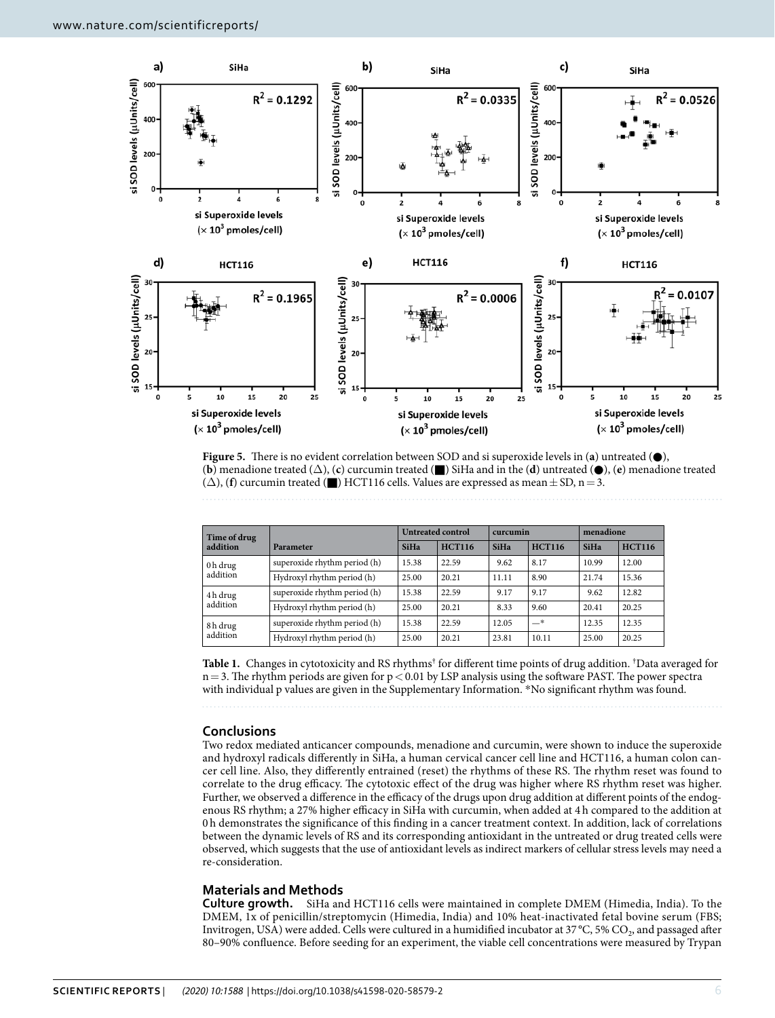

<span id="page-5-0"></span>**Figure 5.** There is no evident correlation between SOD and si superoxide levels in (**a**) untreated (●), (**b**) menadione treated (∆), (**c**) curcumin treated (■) SiHa and in the (**d**) untreated (●), (**e**) menadione treated ( $\Delta$ ), (**f**) curcumin treated (■) HCT116 cells. Values are expressed as mean  $\pm$  SD, n = 3.

<span id="page-5-1"></span>

| Time of drug<br>addition |                              | Untreated control |               | curcumin    |               | menadione   |               |
|--------------------------|------------------------------|-------------------|---------------|-------------|---------------|-------------|---------------|
|                          | Parameter                    | <b>SiHa</b>       | <b>HCT116</b> | <b>SiHa</b> | <b>HCT116</b> | <b>SiHa</b> | <b>HCT116</b> |
| 0h drug<br>addition      | superoxide rhythm period (h) | 15.38             | 22.59         | 9.62        | 8.17          | 10.99       | 12.00         |
|                          | Hydroxyl rhythm period (h)   | 25.00             | 20.21         | 11.11       | 8.90          | 21.74       | 15.36         |
| 4h drug<br>addition      | superoxide rhythm period (h) | 15.38             | 22.59         | 9.17        | 9.17          | 9.62        | 12.82         |
|                          | Hydroxyl rhythm period (h)   | 25.00             | 20.21         | 8.33        | 9.60          | 20.41       | 20.25         |
| 8h drug<br>addition      | superoxide rhythm period (h) | 15.38             | 22.59         | 12.05       | $-$ *         | 12.35       | 12.35         |
|                          | Hydroxyl rhythm period (h)   | 25.00             | 20.21         | 23.81       | 10.11         | 25.00       | 20.25         |

Table 1. Changes in cytotoxicity and RS rhythms<sup>†</sup> for different time points of drug addition. <sup>†</sup>Data averaged for  $n = 3$ . The rhythm periods are given for  $p < 0.01$  by LSP analysis using the software PAST. The power spectra with individual p values are given in the Supplementary Information. \*No significant rhythm was found.

#### **Conclusions**

Two redox mediated anticancer compounds, menadione and curcumin, were shown to induce the superoxide and hydroxyl radicals differently in SiHa, a human cervical cancer cell line and HCT116, a human colon cancer cell line. Also, they differently entrained (reset) the rhythms of these RS. The rhythm reset was found to correlate to the drug efficacy. The cytotoxic effect of the drug was higher where RS rhythm reset was higher. Further, we observed a difference in the efficacy of the drugs upon drug addition at different points of the endogenous RS rhythm; a 27% higher efficacy in SiHa with curcumin, when added at 4 h compared to the addition at 0 h demonstrates the significance of this finding in a cancer treatment context. In addition, lack of correlations between the dynamic levels of RS and its corresponding antioxidant in the untreated or drug treated cells were observed, which suggests that the use of antioxidant levels as indirect markers of cellular stress levels may need a re-consideration.

#### **Materials and Methods**

**Culture growth.** SiHa and HCT116 cells were maintained in complete DMEM (Himedia, India). To the DMEM, 1x of penicillin/streptomycin (Himedia, India) and 10% heat-inactivated fetal bovine serum (FBS; Invitrogen, USA) were added. Cells were cultured in a humidified incubator at 37 °C, 5% CO<sub>2</sub>, and passaged after 80–90% confluence. Before seeding for an experiment, the viable cell concentrations were measured by Trypan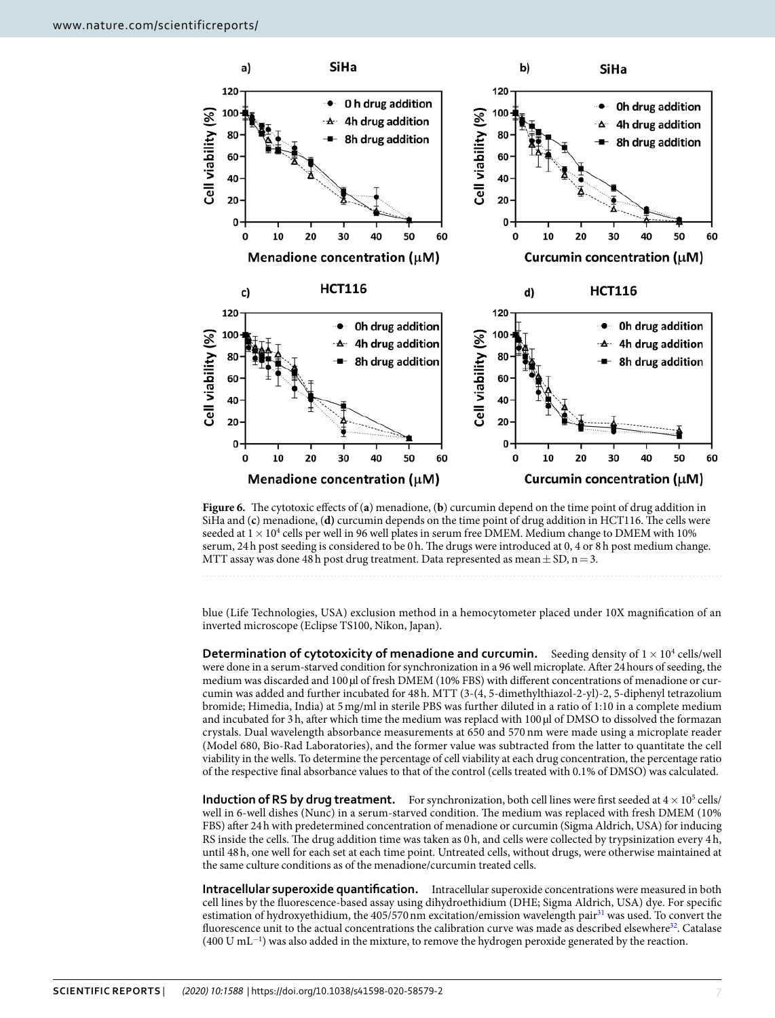

<span id="page-6-0"></span>**Figure 6.** The cytotoxic effects of (**a**) menadione, (**b**) curcumin depend on the time point of drug addition in SiHa and (**c**) menadione, (**d)** curcumin depends on the time point of drug addition in HCT116. The cells were seeded at  $1 \times 10^4$  cells per well in 96 well plates in serum free DMEM. Medium change to DMEM with 10% serum, 24 h post seeding is considered to be 0 h. The drugs were introduced at 0, 4 or 8 h post medium change. MTT assay was done 48 h post drug treatment. Data represented as mean  $\pm$  SD, n = 3.

blue (Life Technologies, USA) exclusion method in a hemocytometer placed under 10X magnification of an inverted microscope (Eclipse TS100, Nikon, Japan).

**Determination of cytotoxicity of menadione and curcumin.** Seeding density of  $1 \times 10^4$  cells/well were done in a serum-starved condition for synchronization in a 96 well microplate. After 24 hours of seeding, the medium was discarded and 100 µl of fresh DMEM (10% FBS) with different concentrations of menadione or curcumin was added and further incubated for 48 h. MTT (3-(4, 5-dimethylthiazol-2-yl)-2, 5-diphenyl tetrazolium bromide; Himedia, India) at 5 mg/ml in sterile PBS was further diluted in a ratio of 1:10 in a complete medium and incubated for 3 h, after which time the medium was replacd with  $100 \mu$  of DMSO to dissolved the formazan crystals. Dual wavelength absorbance measurements at 650 and 570 nm were made using a microplate reader (Model 680, Bio-Rad Laboratories), and the former value was subtracted from the latter to quantitate the cell viability in the wells. To determine the percentage of cell viability at each drug concentration, the percentage ratio of the respective final absorbance values to that of the control (cells treated with 0.1% of DMSO) was calculated.

**Induction of RS by drug treatment.** For synchronization, both cell lines were first seeded at  $4 \times 10^5$  cells/ well in 6-well dishes (Nunc) in a serum-starved condition. The medium was replaced with fresh DMEM (10% FBS) after 24 h with predetermined concentration of menadione or curcumin (Sigma Aldrich, USA) for inducing RS inside the cells. The drug addition time was taken as 0 h, and cells were collected by trypsinization every 4 h, until 48 h, one well for each set at each time point. Untreated cells, without drugs, were otherwise maintained at the same culture conditions as of the menadione/curcumin treated cells.

**Intracellular superoxide quantification.** Intracellular superoxide concentrations were measured in both cell lines by the fluorescence-based assay using dihydroethidium (DHE; Sigma Aldrich, USA) dye. For specific estimation of hydroxyethidium, the 405/570 nm excitation/emission wavelength pair<sup>[31](#page-8-16)</sup> was used. To convert the fluorescence unit to the actual concentrations the calibration curve was made as described elsewhere<sup>[32](#page-8-17)</sup>. Catalase (400 U mL<sup>−</sup><sup>1</sup> ) was also added in the mixture, to remove the hydrogen peroxide generated by the reaction.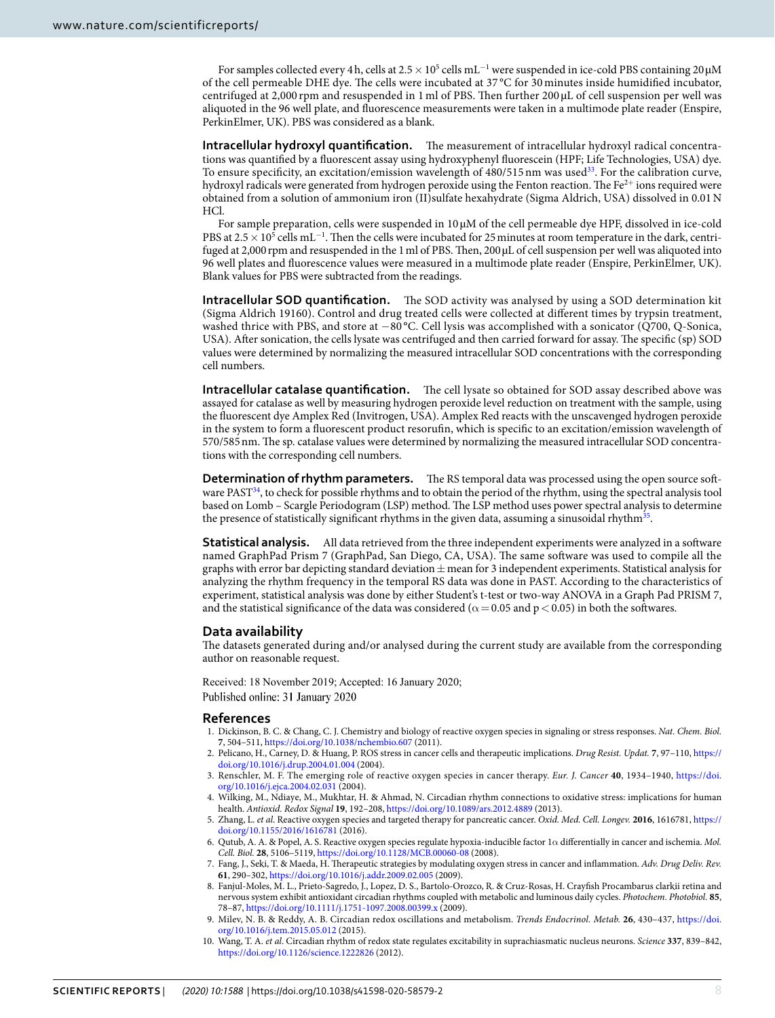For samples collected every 4h, cells at  $2.5 \times 10^5$  cells  $mL^{-1}$  were suspended in ice-cold PBS containing 20µM of the cell permeable DHE dye. The cells were incubated at 37 °C for 30 minutes inside humidified incubator, centrifuged at 2,000 rpm and resuspended in 1 ml of PBS. Then further 200 µL of cell suspension per well was aliquoted in the 96 well plate, and fluorescence measurements were taken in a multimode plate reader (Enspire, PerkinElmer, UK). PBS was considered as a blank.

**Intracellular hydroxyl quantification.** The measurement of intracellular hydroxyl radical concentrations was quantified by a fluorescent assay using hydroxyphenyl fluorescein (HPF; Life Technologies, USA) dye. To ensure specificity, an excitation/emission wavelength of 480/515 nm was used<sup>[33](#page-8-18)</sup>. For the calibration curve, hydroxyl radicals were generated from hydrogen peroxide using the Fenton reaction. The Fe<sup>2+</sup> ions required were obtained from a solution of ammonium iron (II)sulfate hexahydrate (Sigma Aldrich, USA) dissolved in 0.01 N HCl.

For sample preparation, cells were suspended in 10 µM of the cell permeable dye HPF, dissolved in ice-cold PBS at  $2.5 \times 10^5$  cells mL<sup>-1</sup>. Then the cells were incubated for 25 minutes at room temperature in the dark, centrifuged at 2,000 rpm and resuspended in the 1 ml of PBS. Then, 200 µL of cell suspension per well was aliquoted into 96 well plates and fluorescence values were measured in a multimode plate reader (Enspire, PerkinElmer, UK). Blank values for PBS were subtracted from the readings.

**Intracellular SOD quantification.** The SOD activity was analysed by using a SOD determination kit (Sigma Aldrich 19160). Control and drug treated cells were collected at different times by trypsin treatment, washed thrice with PBS, and store at −80 °C. Cell lysis was accomplished with a sonicator (Q700, Q-Sonica, USA). After sonication, the cells lysate was centrifuged and then carried forward for assay. The specific (sp) SOD values were determined by normalizing the measured intracellular SOD concentrations with the corresponding cell numbers.

**Intracellular catalase quantification.** The cell lysate so obtained for SOD assay described above was assayed for catalase as well by measuring hydrogen peroxide level reduction on treatment with the sample, using the fluorescent dye Amplex Red (Invitrogen, USA). Amplex Red reacts with the unscavenged hydrogen peroxide in the system to form a fluorescent product resorufin, which is specific to an excitation/emission wavelength of 570/585 nm. The sp. catalase values were determined by normalizing the measured intracellular SOD concentrations with the corresponding cell numbers.

**Determination of rhythm parameters.** The RS temporal data was processed using the open source soft-ware PAST<sup>[34](#page-8-19)</sup>, to check for possible rhythms and to obtain the period of the rhythm, using the spectral analysis tool based on Lomb – Scargle Periodogram (LSP) method. The LSP method uses power spectral analysis to determine the presence of statistically significant rhythms in the given data, assuming a sinusoidal rhythm<sup>[35](#page-8-20)</sup>.

**Statistical analysis.** All data retrieved from the three independent experiments were analyzed in a software named GraphPad Prism 7 (GraphPad, San Diego, CA, USA). The same software was used to compile all the graphs with error bar depicting standard deviation  $\pm$  mean for 3 independent experiments. Statistical analysis for analyzing the rhythm frequency in the temporal RS data was done in PAST. According to the characteristics of experiment, statistical analysis was done by either Student's t-test or two-way ANOVA in a Graph Pad PRISM 7, and the statistical significance of the data was considered ( $\alpha$  = 0.05 and p < 0.05) in both the softwares.

#### **Data availability**

The datasets generated during and/or analysed during the current study are available from the corresponding author on reasonable request.

Received: 18 November 2019; Accepted: 16 January 2020; Published online: 31 January 2020

#### **References**

- <span id="page-7-0"></span> 1. Dickinson, B. C. & Chang, C. J. Chemistry and biology of reactive oxygen species in signaling or stress responses. Nat. Chem. Biol. **7**, 504–511,<https://doi.org/10.1038/nchembio.607>(2011).
- <span id="page-7-4"></span> 2. Pelicano, H., Carney, D. & Huang, P. ROS stress in cancer cells and therapeutic implications. Drug Resist. Updat. **7**, 97–110, [https://](https://doi.org/10.1016/j.drup.2004.01.004) [doi.org/10.1016/j.drup.2004.01.004](https://doi.org/10.1016/j.drup.2004.01.004) (2004).
- 3. Renschler, M. F. The emerging role of reactive oxygen species in cancer therapy. Eur. J. Cancer **40**, 1934–1940, [https://doi.](https://doi.org/10.1016/j.ejca.2004.02.031) [org/10.1016/j.ejca.2004.02.031](https://doi.org/10.1016/j.ejca.2004.02.031) (2004).
- <span id="page-7-3"></span> 4. Wilking, M., Ndiaye, M., Mukhtar, H. & Ahmad, N. Circadian rhythm connections to oxidative stress: implications for human health. Antioxid. Redox Signal **19**, 192–208,<https://doi.org/10.1089/ars.2012.4889> (2013).
- 5. Zhang, L. et al. Reactive oxygen species and targeted therapy for pancreatic cancer. Oxid. Med. Cell. Longev. **2016**, 1616781, [https://](https://doi.org/10.1155/2016/1616781) [doi.org/10.1155/2016/1616781](https://doi.org/10.1155/2016/1616781) (2016).
- 6. Qutub, A. A. & Popel, A. S. Reactive oxygen species regulate hypoxia-inducible factor 1α differentially in cancer and ischemia. Mol. Cell. Biol. **28**, 5106–5119, <https://doi.org/10.1128/MCB.00060-08>(2008).
- <span id="page-7-1"></span> 7. Fang, J., Seki, T. & Maeda, H. Therapeutic strategies by modulating oxygen stress in cancer and inflammation. Adv. Drug Deliv. Rev. **61**, 290–302,<https://doi.org/10.1016/j.addr.2009.02.005>(2009).
- <span id="page-7-2"></span> 8. Fanjul-Moles, M. L., Prieto-Sagredo, J., Lopez, D. S., Bartolo-Orozco, R. & Cruz-Rosas, H. Crayfish Procambarus clarkii retina and nervous system exhibit antioxidant circadian rhythms coupled with metabolic and luminous daily cycles. Photochem. Photobiol. **85**, 78–87,<https://doi.org/10.1111/j.1751-1097.2008.00399.x>(2009).
- 9. Milev, N. B. & Reddy, A. B. Circadian redox oscillations and metabolism. Trends Endocrinol. Metab. **26**, 430–437, [https://doi.](https://doi.org/10.1016/j.tem.2015.05.012) [org/10.1016/j.tem.2015.05.012](https://doi.org/10.1016/j.tem.2015.05.012) (2015).
- 10. Wang, T. A. et al. Circadian rhythm of redox state regulates excitability in suprachiasmatic nucleus neurons. Science **337**, 839–842, <https://doi.org/10.1126/science.1222826> (2012).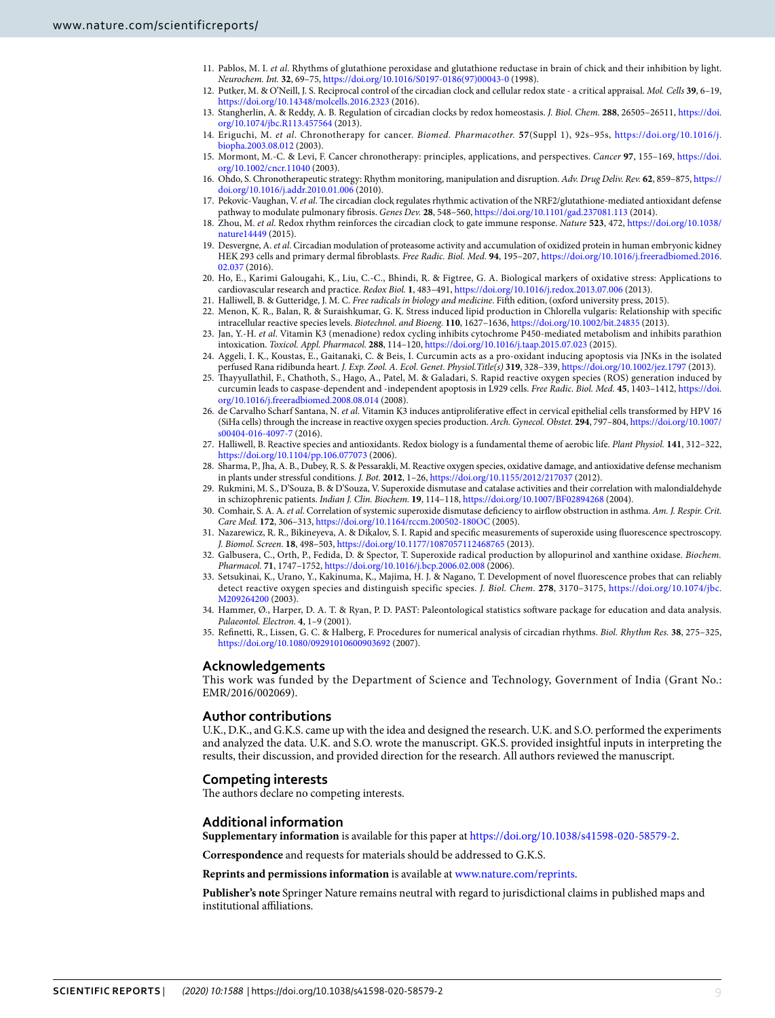- <span id="page-8-0"></span> 11. Pablos, M. I. et al. Rhythms of glutathione peroxidase and glutathione reductase in brain of chick and their inhibition by light. Neurochem. Int. **32**, 69–75, [https://doi.org/10.1016/S0197-0186\(97\)00043-0](https://doi.org/10.1016/S0197-0186(97)00043-0) (1998).
- <span id="page-8-1"></span> 12. Putker, M. & O'Neill, J. S. Reciprocal control of the circadian clock and cellular redox state - a critical appraisal. Mol. Cells **39**, 6–19, <https://doi.org/10.14348/molcells.2016.2323> (2016).
- <span id="page-8-2"></span> 13. Stangherlin, A. & Reddy, A. B. Regulation of circadian clocks by redox homeostasis. J. Biol. Chem. **288**, 26505–26511, [https://doi.](https://doi.org/10.1074/jbc.R113.457564) [org/10.1074/jbc.R113.457564](https://doi.org/10.1074/jbc.R113.457564) (2013).
- <span id="page-8-3"></span> 14. Eriguchi, M. et al. Chronotherapy for cancer. Biomed. Pharmacother. **57**(Suppl 1), 92s–95s, [https://doi.org/10.1016/j.](https://doi.org/10.1016/j.biopha.2003.08.012) [biopha.2003.08.012](https://doi.org/10.1016/j.biopha.2003.08.012) (2003).
- 15. Mormont, M.-C. & Levi, F. Cancer chronotherapy: principles, applications, and perspectives. Cancer **97**, 155–169, [https://doi.](https://doi.org/10.1002/cncr.11040) [org/10.1002/cncr.11040](https://doi.org/10.1002/cncr.11040) (2003).
- 16. Ohdo, S. Chronotherapeutic strategy: Rhythm monitoring, manipulation and disruption. Adv. Drug Deliv. Rev. **62**, 859–875, [https://](https://doi.org/10.1016/j.addr.2010.01.006) [doi.org/10.1016/j.addr.2010.01.006](https://doi.org/10.1016/j.addr.2010.01.006) (2010).
- 17. Pekovic-Vaughan, V. et al. The circadian clock regulates rhythmic activation of the NRF2/glutathione-mediated antioxidant defense pathway to modulate pulmonary fibrosis. Genes Dev. **28**, 548–560, <https://doi.org/10.1101/gad.237081.113> (2014).
- 18. Zhou, M. et al. Redox rhythm reinforces the circadian clock to gate immune response. Nature **523**, 472, [https://doi.org/10.1038/](https://doi.org/10.1038/nature14449) [nature14449](https://doi.org/10.1038/nature14449) (2015).
- <span id="page-8-4"></span>19. Desvergne, A. et al. Circadian modulation of proteasome activity and accumulation of oxidized protein in human embryonic kidney HEK 293 cells and primary dermal fibroblasts. Free Radic. Biol. Med. **94**, 195–207, [https://doi.org/10.1016/j.freeradbiomed.2016.](https://doi.org/10.1016/j.freeradbiomed.2016.02.037) [02.037](https://doi.org/10.1016/j.freeradbiomed.2016.02.037) (2016).
- <span id="page-8-5"></span> 20. Ho, E., Karimi Galougahi, K., Liu, C.-C., Bhindi, R. & Figtree, G. A. Biological markers of oxidative stress: Applications to cardiovascular research and practice. Redox Biol. **1**, 483–491,<https://doi.org/10.1016/j.redox.2013.07.006>(2013).
- <span id="page-8-6"></span>21. Halliwell, B. & Gutteridge, J. M. C. Free radicals in biology and medicine. Fifth edition, (oxford university press, 2015).
- <span id="page-8-7"></span> 22. Menon, K. R., Balan, R. & Suraishkumar, G. K. Stress induced lipid production in Chlorella vulgaris: Relationship with specific intracellular reactive species levels. Biotechnol. and Bioeng. **110**, 1627–1636, <https://doi.org/10.1002/bit.24835>(2013).
- <span id="page-8-8"></span> 23. Jan, Y.-H. et al. Vitamin K3 (menadione) redox cycling inhibits cytochrome P450-mediated metabolism and inhibits parathion intoxication. Toxicol. Appl. Pharmacol. **288**, 114–120, <https://doi.org/10.1016/j.taap.2015.07.023> (2015).
- <span id="page-8-9"></span> 24. Aggeli, I. K., Koustas, E., Gaitanaki, C. & Beis, I. Curcumin acts as a pro-oxidant inducing apoptosis via JNKs in the isolated perfused Rana ridibunda heart. J. Exp. Zool. A. Ecol. Genet. Physiol.Title(s) **319**, 328–339, <https://doi.org/10.1002/jez.1797> (2013).
- <span id="page-8-10"></span> 25. Thayyullathil, F., Chathoth, S., Hago, A., Patel, M. & Galadari, S. Rapid reactive oxygen species (ROS) generation induced by curcumin leads to caspase-dependent and -independent apoptosis in L929 cells. Free Radic. Biol. Med. **45**, 1403–1412, [https://doi.](https://doi.org/10.1016/j.freeradbiomed.2008.08.014) [org/10.1016/j.freeradbiomed.2008.08.014](https://doi.org/10.1016/j.freeradbiomed.2008.08.014) (2008).
- <span id="page-8-11"></span>26. de Carvalho Scharf Santana, N. et al. Vitamin K3 induces antiproliferative effect in cervical epithelial cells transformed by HPV 16 (SiHa cells) through the increase in reactive oxygen species production. Arch. Gynecol. Obstet. **294**, 797–804, [https://doi.org/10.1007/](https://doi.org/10.1007/s00404-016-4097-7) [s00404-016-4097-7](https://doi.org/10.1007/s00404-016-4097-7) (2016).
- <span id="page-8-12"></span> 27. Halliwell, B. Reactive species and antioxidants. Redox biology is a fundamental theme of aerobic life. Plant Physiol. **141**, 312–322, <https://doi.org/10.1104/pp.106.077073> (2006).
- <span id="page-8-13"></span> 28. Sharma, P., Jha, A. B., Dubey, R. S. & Pessarakli, M. Reactive oxygen species, oxidative damage, and antioxidative defense mechanism in plants under stressful conditions. J. Bot. **2012**, 1–26,<https://doi.org/10.1155/2012/217037> (2012).
- <span id="page-8-14"></span> 29. Rukmini, M. S., D'Souza, B. & D'Souza, V. Superoxide dismutase and catalase activities and their correlation with malondialdehyde in schizophrenic patients. Indian J. Clin. Biochem. **19**, 114–118, <https://doi.org/10.1007/BF02894268> (2004).
- <span id="page-8-15"></span>30. Comhair, S. A. A. et al. Correlation of systemic superoxide dismutase deficiency to airflow obstruction in asthma. Am. J. Respir. Crit. Care Med. **172**, 306–313, <https://doi.org/10.1164/rccm.200502-180OC>(2005).
- <span id="page-8-16"></span> 31. Nazarewicz, R. R., Bikineyeva, A. & Dikalov, S. I. Rapid and specific measurements of superoxide using fluorescence spectroscopy. J. Biomol. Screen. **18**, 498–503,<https://doi.org/10.1177/1087057112468765>(2013).
- <span id="page-8-17"></span> 32. Galbusera, C., Orth, P., Fedida, D. & Spector, T. Superoxide radical production by allopurinol and xanthine oxidase. Biochem. Pharmacol. **71**, 1747–1752,<https://doi.org/10.1016/j.bcp.2006.02.008>(2006).
- <span id="page-8-18"></span> 33. Setsukinai, K., Urano, Y., Kakinuma, K., Majima, H. J. & Nagano, T. Development of novel fluorescence probes that can reliably detect reactive oxygen species and distinguish specific species. J. Biol. Chem. **278**, 3170–3175, [https://doi.org/10.1074/jbc.](https://doi.org/10.1074/jbc.M209264200) [M209264200](https://doi.org/10.1074/jbc.M209264200) (2003).
- <span id="page-8-19"></span> 34. Hammer, Ø., Harper, D. A. T. & Ryan, P. D. PAST: Paleontological statistics software package for education and data analysis. Palaeontol. Electron. **4**, 1–9 (2001).
- <span id="page-8-20"></span> 35. Refinetti, R., Lissen, G. C. & Halberg, F. Procedures for numerical analysis of circadian rhythms. Biol. Rhythm Res. **38**, 275–325, <https://doi.org/10.1080/09291010600903692> (2007).

#### **Acknowledgements**

This work was funded by the Department of Science and Technology, Government of India (Grant No.: EMR/2016/002069).

#### **Author contributions**

U.K., D.K., and G.K.S. came up with the idea and designed the research. U.K. and S.O. performed the experiments and analyzed the data. U.K. and S.O. wrote the manuscript. GK.S. provided insightful inputs in interpreting the results, their discussion, and provided direction for the research. All authors reviewed the manuscript.

#### **Competing interests**

The authors declare no competing interests.

#### **Additional information**

**Supplementary information** is available for this paper at<https://doi.org/10.1038/s41598-020-58579-2>.

**Correspondence** and requests for materials should be addressed to G.K.S.

**Reprints and permissions information** is available at [www.nature.com/reprints.](http://www.nature.com/reprints)

**Publisher's note** Springer Nature remains neutral with regard to jurisdictional claims in published maps and institutional affiliations.